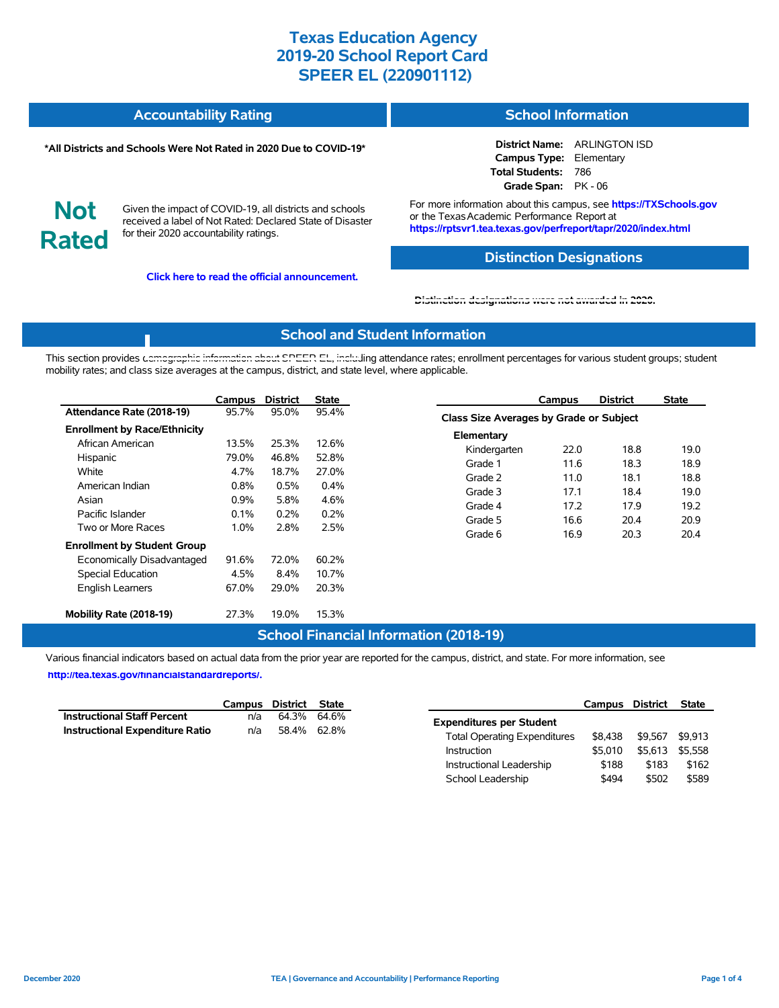### **Accountability Rating School Information**

#### **\*All Districts and Schools Were Not Rated in 2020 Due to COVID-19\***

**District Name:** ARLINGTON ISD **Campus Type:** Elementary **Total Students:** 786 **Grade Span:** PK - 06

**Not Rated**

Given the impact of COVID-19, all districts and schools received a label of Not Rated: Declared State of Disaster for their 2020 accountability ratings.

**Click here to read the official announcement.**

For more information about this campus, see **https://TXSchools.gov** or the Texas Academic Performance Report at **https://rptsvr1.tea.texas.gov/perfreport/tapr/2020/index.html**

### **Distinction Designations**

Instructional Leadership  $$188$  \$183 \$162 School Leadership  $$494$  \$502 \$589

#### **[Distinction designations were not awarded in 2020.](https://rptsvr1.tea.texas.gov/perfreport/tapr/2020/index.html)**

#### **School and Student Information**

This section provides [demographic information about SPEER EL, includ](https://tea.texas.gov/about-tea/news-and-multimedia/correspondence/taa-letters/every-student-succeeds-act-essa-waiver-approval-2020-state-academic-accountability)ing attendance rates; enrollment percentages for various student groups; student mobility rates; and class size averages at the campus, district, and state level, where applicable.

|                                     | Campus  | <b>District</b> | <b>State</b> |                    | Campus                                  | <b>District</b> | <b>State</b> |  |  |  |
|-------------------------------------|---------|-----------------|--------------|--------------------|-----------------------------------------|-----------------|--------------|--|--|--|
| Attendance Rate (2018-19)           | 95.7%   | 95.0%           | 95.4%        |                    | Class Size Averages by Grade or Subject |                 |              |  |  |  |
| <b>Enrollment by Race/Ethnicity</b> |         |                 |              | Elementary         |                                         |                 |              |  |  |  |
| African American                    | 13.5%   | 25.3%           | 12.6%        | Kindergarten       | 22.0                                    | 18.8            | 19.0         |  |  |  |
| Hispanic                            | 79.0%   | 46.8%           | 52.8%        | Grade 1            | 11.6                                    | 18.3            | 18.9         |  |  |  |
| White                               | 4.7%    | 18.7%           | 27.0%        | Grade 2            | 11.0                                    | 18.1            | 18.8         |  |  |  |
| American Indian                     | 0.8%    | 0.5%            | 0.4%         | Grade 3            | 17.1                                    | 18.4            | 19.0         |  |  |  |
| Asian                               | $0.9\%$ | 5.8%            | 4.6%         |                    |                                         |                 |              |  |  |  |
| Pacific Islander                    | 0.1%    | 0.2%            | 0.2%         | Grade 4<br>Grade 5 | 17.2<br>16.6                            | 17.9<br>20.4    | 19.2<br>20.9 |  |  |  |
| Two or More Races                   | 1.0%    | 2.8%            | 2.5%         | Grade 6            | 16.9                                    | 20.3            | 20.4         |  |  |  |
| <b>Enrollment by Student Group</b>  |         |                 |              |                    |                                         |                 |              |  |  |  |
| Economically Disadvantaged          | 91.6%   | 72.0%           | 60.2%        |                    |                                         |                 |              |  |  |  |
| Special Education                   | 4.5%    | 8.4%            | 10.7%        |                    |                                         |                 |              |  |  |  |
| English Learners                    | 67.0%   | 29.0%           | 20.3%        |                    |                                         |                 |              |  |  |  |
| Mobility Rate (2018-19)             | 27.3%   | 19.0%           | 15.3%        |                    |                                         |                 |              |  |  |  |

### **School Financial Information (2018-19)**

Various financial indicators based on actual data from the prior year are reported for the campus, district, and state. For more information, see

**[http://tea.texas.gov/financialstandardreports/.](http://tea.texas.gov/financialstandardreports/)**

|                                        |     | Campus District State |                                                | Campus District | State           |
|----------------------------------------|-----|-----------------------|------------------------------------------------|-----------------|-----------------|
| <b>Instructional Staff Percent</b>     | n/a | 64.3% 64.6%           | <b>Expenditures per Student</b>                |                 |                 |
| <b>Instructional Expenditure Ratio</b> | n/a | 58.4% 62.8%           | \$8.438<br><b>Total Operating Expenditures</b> | \$9.567         | \$9.913         |
|                                        |     |                       | \$5.010<br>Instruction                         |                 | \$5,613 \$5,558 |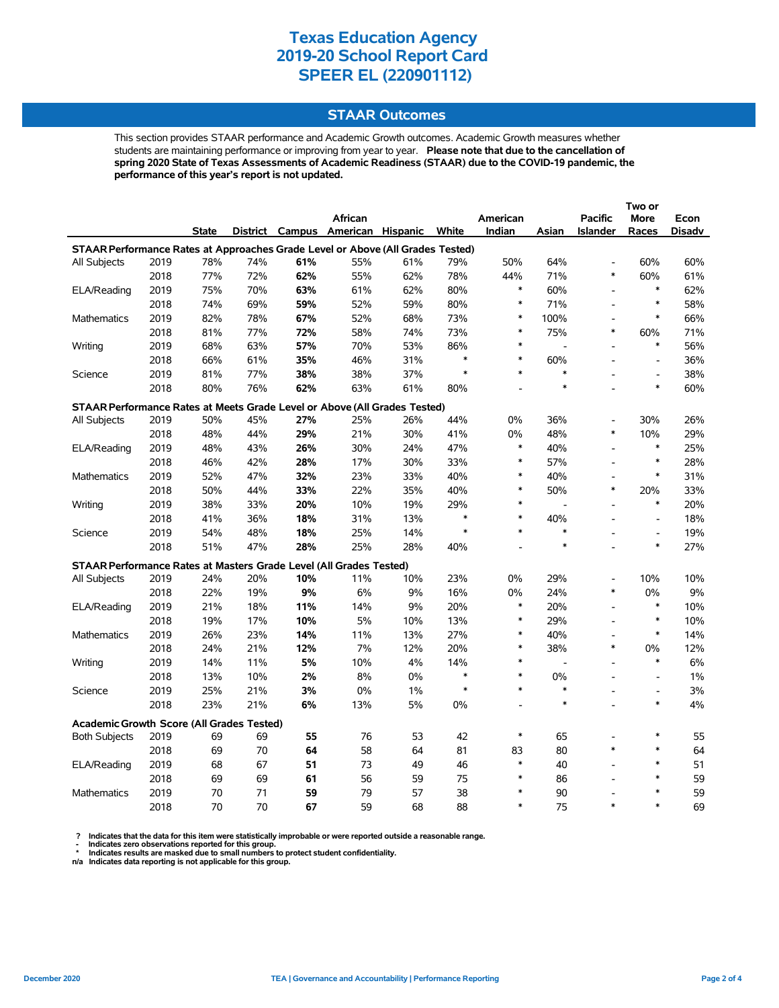### **STAAR Outcomes**

This section provides STAAR performance and Academic Growth outcomes. Academic Growth measures whether students are maintaining performance or improving from year to year. **Please note that due to the cancellation of spring 2020 State of Texas Assessments of Academic Readiness (STAAR) due to the COVID-19 pandemic, the performance of this year's report is not updated.**

|                                                                                           |      |       |     |     | African                           |     |        | American       |                | <b>Pacific</b>           | More                     | Econ   |
|-------------------------------------------------------------------------------------------|------|-------|-----|-----|-----------------------------------|-----|--------|----------------|----------------|--------------------------|--------------------------|--------|
|                                                                                           |      | State |     |     | District Campus American Hispanic |     | White  | Indian         | Asian          | <b>Islander</b>          | Races                    | Disadv |
| STAAR Performance Rates at Approaches Grade Level or Above (All Grades Tested)            |      |       |     |     |                                   |     |        |                |                |                          |                          |        |
| All Subjects                                                                              | 2019 | 78%   | 74% | 61% | 55%                               | 61% | 79%    | 50%            | 64%            | $\overline{a}$           | 60%                      | 60%    |
|                                                                                           | 2018 | 77%   | 72% | 62% | 55%                               | 62% | 78%    | 44%            | 71%            | $\ast$                   | 60%                      | 61%    |
| ELA/Reading                                                                               | 2019 | 75%   | 70% | 63% | 61%                               | 62% | 80%    | $\ast$         | 60%            | $\overline{a}$           | $\ast$                   | 62%    |
|                                                                                           | 2018 | 74%   | 69% | 59% | 52%                               | 59% | 80%    | $\ast$         | 71%            | $\overline{a}$           | $\ast$                   | 58%    |
| Mathematics                                                                               | 2019 | 82%   | 78% | 67% | 52%                               | 68% | 73%    | $\ast$         | 100%           | $\overline{a}$           | $\ast$                   | 66%    |
|                                                                                           | 2018 | 81%   | 77% | 72% | 58%                               | 74% | 73%    | *              | 75%            | *                        | 60%                      | 71%    |
| Writing                                                                                   | 2019 | 68%   | 63% | 57% | 70%                               | 53% | 86%    | $\ast$         |                | L,                       | $\ast$                   | 56%    |
|                                                                                           | 2018 | 66%   | 61% | 35% | 46%                               | 31% | $\ast$ | $\ast$         | 60%            |                          | $\overline{\phantom{a}}$ | 36%    |
| Science                                                                                   | 2019 | 81%   | 77% | 38% | 38%                               | 37% | $\ast$ | $\ast$         | $\ast$         |                          | $\overline{\phantom{a}}$ | 38%    |
|                                                                                           | 2018 | 80%   | 76% | 62% | 63%                               | 61% | 80%    |                | $\ast$         |                          | $\ast$                   | 60%    |
| STAAR Performance Rates at Meets Grade Level or Above (All Grades Tested)                 |      |       |     |     |                                   |     |        |                |                |                          |                          |        |
| All Subjects                                                                              | 2019 | 50%   | 45% | 27% | 25%                               | 26% | 44%    | 0%             | 36%            |                          | 30%                      | 26%    |
|                                                                                           | 2018 | 48%   | 44% | 29% | 21%                               | 30% | 41%    | 0%             | 48%            | $\ast$                   | 10%                      | 29%    |
| ELA/Reading                                                                               | 2019 | 48%   | 43% | 26% | 30%                               | 24% | 47%    | *              | 40%            | $\overline{\phantom{a}}$ | $\ast$                   | 25%    |
|                                                                                           | 2018 | 46%   | 42% | 28% | 17%                               | 30% | 33%    | $\ast$         | 57%            | L,                       | $\ast$                   | 28%    |
| Mathematics                                                                               | 2019 | 52%   | 47% | 32% | 23%                               | 33% | 40%    | $\ast$         | 40%            |                          | $\ast$                   | 31%    |
|                                                                                           | 2018 | 50%   | 44% | 33% | 22%                               | 35% | 40%    | $\ast$         | 50%            | $\ast$                   | 20%                      | 33%    |
| Writing                                                                                   | 2019 | 38%   | 33% | 20% | 10%                               | 19% | 29%    | *              |                | $\overline{\phantom{a}}$ | $\ast$                   | 20%    |
|                                                                                           | 2018 | 41%   | 36% | 18% | 31%                               | 13% | $\ast$ | $\ast$         | 40%            |                          | $\overline{a}$           | 18%    |
| Science                                                                                   | 2019 | 54%   | 48% | 18% | 25%                               | 14% | $\ast$ | $\ast$         | $\ast$         |                          | $\overline{\phantom{a}}$ | 19%    |
|                                                                                           | 2018 | 51%   | 47% | 28% | 25%                               | 28% | 40%    |                | $\ast$         |                          | $\ast$                   | 27%    |
|                                                                                           |      |       |     |     |                                   |     |        |                |                |                          |                          |        |
| STAAR Performance Rates at Masters Grade Level (All Grades Tested)<br><b>All Subjects</b> | 2019 | 24%   | 20% | 10% | 11%                               | 10% | 23%    | 0%             | 29%            | $\overline{a}$           | 10%                      | 10%    |
|                                                                                           | 2018 | 22%   | 19% | 9%  | 6%                                | 9%  | 16%    | 0%             | 24%            | *                        | 0%                       | 9%     |
| ELA/Reading                                                                               | 2019 | 21%   | 18% | 11% | 14%                               | 9%  | 20%    | $\ast$         | 20%            | $\overline{a}$           | $\ast$                   | 10%    |
|                                                                                           | 2018 | 19%   | 17% | 10% | 5%                                | 10% | 13%    | $\ast$         | 29%            | $\overline{a}$           | $\ast$                   | 10%    |
| Mathematics                                                                               | 2019 | 26%   | 23% | 14% | 11%                               | 13% | 27%    | *              | 40%            | L,                       | $\ast$                   | 14%    |
|                                                                                           | 2018 | 24%   | 21% | 12% | 7%                                | 12% | 20%    | $\ast$         | 38%            | *                        | 0%                       | 12%    |
| Writing                                                                                   | 2019 | 14%   | 11% | 5%  | 10%                               | 4%  | 14%    | $\ast$         | $\blacksquare$ | L,                       | $\ast$                   | 6%     |
|                                                                                           | 2018 | 13%   | 10% | 2%  | 8%                                | 0%  | $\ast$ | $\ast$         | 0%             |                          | $\overline{\phantom{a}}$ | 1%     |
| Science                                                                                   | 2019 | 25%   | 21% | 3%  | 0%                                | 1%  | $\ast$ | $\ast$         | $\ast$         | $\overline{a}$           | $\overline{\phantom{a}}$ | 3%     |
|                                                                                           | 2018 | 23%   | 21% | 6%  | 13%                               | 5%  | 0%     | $\overline{a}$ | $\ast$         | $\overline{a}$           | $\ast$                   | 4%     |
|                                                                                           |      |       |     |     |                                   |     |        |                |                |                          |                          |        |
| <b>Academic Growth Score (All Grades Tested)</b>                                          |      |       |     |     |                                   |     |        |                |                |                          |                          |        |
| <b>Both Subjects</b>                                                                      | 2019 | 69    | 69  | 55  | 76                                | 53  | 42     | *              | 65             |                          | $\ast$                   | 55     |
|                                                                                           | 2018 | 69    | 70  | 64  | 58                                | 64  | 81     | 83             | 80             | *                        | $\ast$                   | 64     |
| ELA/Reading                                                                               | 2019 | 68    | 67  | 51  | 73                                | 49  | 46     | $\ast$         | 40             | $\overline{a}$           | $\ast$                   | 51     |
|                                                                                           | 2018 | 69    | 69  | 61  | 56                                | 59  | 75     | *              | 86             |                          | $\ast$                   | 59     |
| Mathematics                                                                               | 2019 | 70    | 71  | 59  | 79                                | 57  | 38     | $\ast$         | 90             |                          | $\ast$                   | 59     |
|                                                                                           | 2018 | 70    | 70  | 67  | 59                                | 68  | 88     | $\ast$         | 75             | $\ast$                   | $\ast$                   | 69     |

? Indicates that the data for this item were statistically improbable or were reported outside a reasonable range.<br>- Indicates zero observations reported for this group.<br>\* Indicates results are masked due to small numbers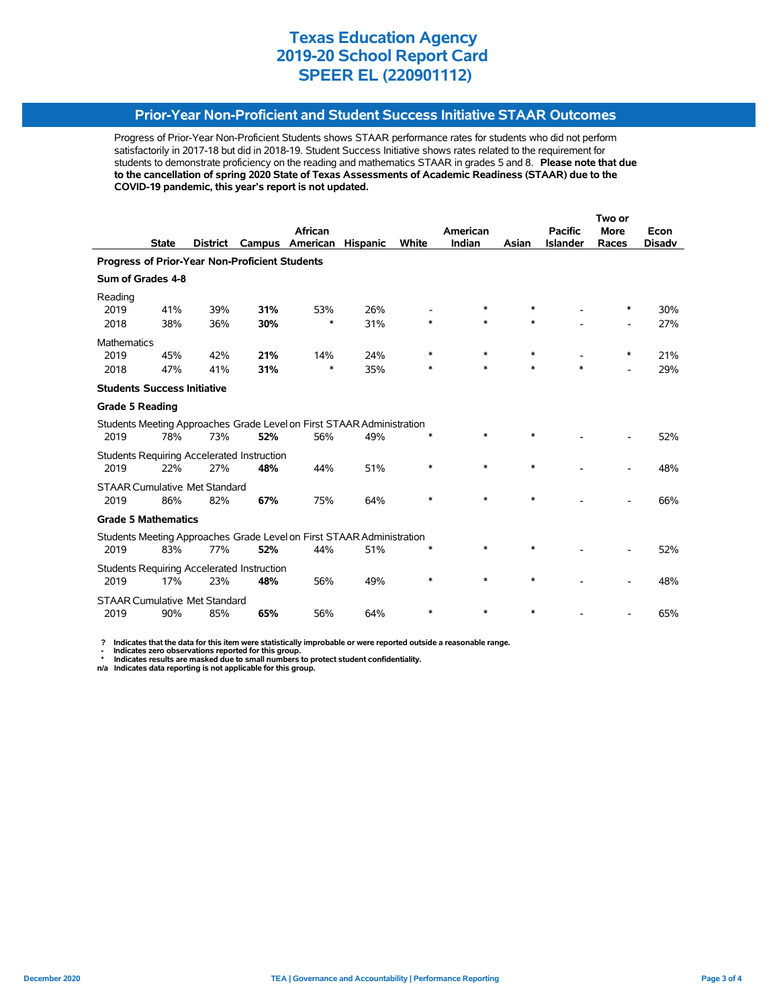### **Prior-Year Non-Proficient and Student Success Initiative STAAR Outcomes**

Progress of Prior-Year Non-Proficient Students shows STAAR performance rates for students who did not perform satisfactorily in 2017-18 but did in 2018-19. Student Success Initiative shows rates related to the requirement for students to demonstrate proficiency on the reading and mathematics STAAR in grades 5 and 8. **Please note that due to the cancellation of spring 2020 State of Texas Assessments of Academic Readiness (STAAR) due to the COVID-19 pandemic, this year's report is not updated.**

|                                                                       |              |                 |                                                   |                                                                       |                 |              |          |        | Two or          |             |               |  |
|-----------------------------------------------------------------------|--------------|-----------------|---------------------------------------------------|-----------------------------------------------------------------------|-----------------|--------------|----------|--------|-----------------|-------------|---------------|--|
|                                                                       |              |                 |                                                   | <b>African</b>                                                        |                 |              | American |        | <b>Pacific</b>  | <b>More</b> | Econ          |  |
|                                                                       | <b>State</b> | <b>District</b> | Campus                                            | American                                                              | <b>Hispanic</b> | <b>White</b> | Indian   | Asian  | <b>Islander</b> | Races       | <b>Disadv</b> |  |
| Progress of Prior-Year Non-Proficient Students                        |              |                 |                                                   |                                                                       |                 |              |          |        |                 |             |               |  |
| Sum of Grades 4-8                                                     |              |                 |                                                   |                                                                       |                 |              |          |        |                 |             |               |  |
| Reading                                                               |              |                 |                                                   |                                                                       |                 |              |          |        |                 |             |               |  |
| 2019                                                                  | 41%          | 39%             | 31%                                               | 53%                                                                   | 26%             |              | *        | $\ast$ |                 | ∗           | 30%           |  |
| 2018                                                                  | 38%          | 36%             | 30%                                               | $\ast$                                                                | 31%             | $\ast$       | $\ast$   | $\ast$ |                 |             | 27%           |  |
| <b>Mathematics</b>                                                    |              |                 |                                                   |                                                                       |                 |              |          |        |                 |             |               |  |
| 2019                                                                  | 45%          | 42%             | 21%                                               | 14%                                                                   | 24%             | $\ast$       | $\ast$   | $\ast$ |                 | $\ast$      | 21%           |  |
| 2018                                                                  | 47%          | 41%             | 31%                                               | $\ast$                                                                | 35%             | *            | *        | $\ast$ | $\ast$          | -           | 29%           |  |
| <b>Students Success Initiative</b>                                    |              |                 |                                                   |                                                                       |                 |              |          |        |                 |             |               |  |
| <b>Grade 5 Reading</b>                                                |              |                 |                                                   |                                                                       |                 |              |          |        |                 |             |               |  |
|                                                                       |              |                 |                                                   | Students Meeting Approaches Grade Level on First STAAR Administration |                 |              |          |        |                 |             |               |  |
| 2019                                                                  | 78%          | 73%             | 52%                                               | 56%                                                                   | 49%             | ∗            | $\ast$   | $\ast$ |                 |             | 52%           |  |
|                                                                       |              |                 | <b>Students Requiring Accelerated Instruction</b> |                                                                       |                 |              |          |        |                 |             |               |  |
| 2019                                                                  | 22%          | 27%             | 48%                                               | 44%                                                                   | 51%             | $\ast$       | $\ast$   | $\ast$ |                 |             | 48%           |  |
| <b>STAAR Cumulative Met Standard</b>                                  |              |                 |                                                   |                                                                       |                 |              |          |        |                 |             |               |  |
| 2019                                                                  | 86%          | 82%             | 67%                                               | 75%                                                                   | 64%             | $\ast$       | $\ast$   | $\ast$ |                 |             | 66%           |  |
| <b>Grade 5 Mathematics</b>                                            |              |                 |                                                   |                                                                       |                 |              |          |        |                 |             |               |  |
| Students Meeting Approaches Grade Level on First STAAR Administration |              |                 |                                                   |                                                                       |                 |              |          |        |                 |             |               |  |
| 2019                                                                  | 83%          | 77%             | 52%                                               | 44%                                                                   | 51%             | *            | $\ast$   | $\ast$ |                 |             | 52%           |  |
|                                                                       |              |                 | <b>Students Requiring Accelerated Instruction</b> |                                                                       |                 |              |          |        |                 |             |               |  |
| 2019                                                                  | 17%          | 23%             | 48%                                               | 56%                                                                   | 49%             | ∗            | *        | $\ast$ |                 |             | 48%           |  |
| <b>STAAR Cumulative Met Standard</b>                                  |              |                 |                                                   |                                                                       |                 |              |          |        |                 |             |               |  |
| 2019                                                                  | 90%          | 85%             | 65%                                               | 56%                                                                   | 64%             | *            | $\ast$   | $\ast$ |                 |             | 65%           |  |

 **? Indicates that the data for this item were statistically improbable or were reported outside a reasonable range.**

 **- Indicates zero observations reported for this group. \* Indicates results are masked due to small numbers to protect student confidentiality.**

**n/a Indicates data reporting is not applicable for this group.**